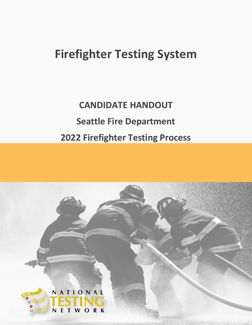# **Firefighter Testing System**

# **CANDIDATE HANDOUT Seattle Fire Department 2022 Firefighter Testing Process**

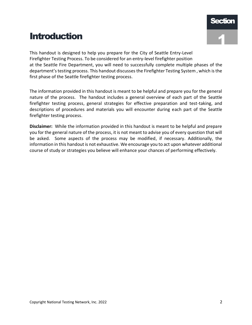# **Introduction**

This handout is designed to help you prepare for the City of Seattle Entry-Level Firefighter Testing Process. To be considered for an entry-level firefighter position at the Seattle Fire Department, you will need to successfully complete multiple phases of the department's testing process. This handout discusses the Firefighter Testing System , which is the first phase of the Seattle firefighter testing process.

The information provided in this handout is meant to be helpful and prepare you for the general nature of the process. The handout includes a general overview of each part of the Seattle firefighter testing process, general strategies for effective preparation and test-taking, and descriptions of procedures and materials you will encounter during each part of the Seattle firefighter testing process.

**Disclaimer:** While the information provided in this handout is meant to be helpful and prepare you for the general nature of the process, it is not meant to advise you of every question that will be asked. Some aspects of the process may be modified, if necessary. Additionally, the information in this handout is not exhaustive. We encourage you to act upon whatever additional course of study or strategies you believe will enhance your chances of performing effectively.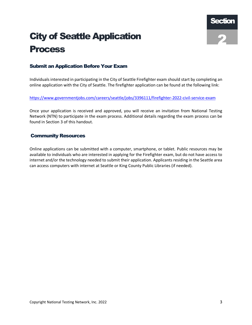# City of Seattle Application Process



# Submit an Application Before Your Exam

Individuals interested in participating in the City of Seattle Firefighter exam should start by completing an online application with the City of Seattle. The firefighter application can be found at the following link:

#### <https://www.governmentjobs.com/careers/seattle/jobs/3396111/firefighter-2022-civil-service-exam>

Once your application is received and approved, you will receive an invitation from National Testing Network (NTN) to participate in the exam process. Additional details regarding the exam process can be found in Section 3 of this handout.

### Community Resources

Online applications can be submitted with a computer, smartphone, or tablet. Public resources may be available to individuals who are interested in applying for the Firefighter exam, but do not have access to internet and/or the technology needed to submit their application. Applicants residing in the Seattle area can access computers with internet at Seattle or King County Public Libraries (if needed).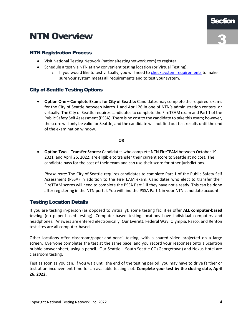# NTN Overview



# NTN Registration Process

- Visit National Testing Network (nationaltestingnetwork.com) to register.
- Schedule a test via NTN at any convenient testing location (or Virtual Testing).
	- $\circ$  If you would like to test virtually, you will need to [check system requirements](https://www.nationaltestingnetwork.com/publicsafetyjobs/index.cfm?mode=page/virtual) to make sure your system meets **all** requirements and to test your system.

# City of Seattle Testing Options

 **Option One – Complete Exams for City of Seattle:** Candidates may complete the required exams for the City of Seattle between March 1 and April 26 in one of NTN's administration centers, or virtually. The City of Seattle requires candidates to complete the FireTEAM exam and Part 1 of the Public Safety Self Assessment (PSSA). There is no cost to the candidate to take this exam; however, the score will only be valid for Seattle, and the candidate will not find out test results until the end of the examination window.

#### **OR**

 **Option Two – Transfer Scores:** Candidates who complete NTN FireTEAM between October 19, 2021, and April 26, 2022, are eligible to transfer their current score to Seattle at no cost. The candidate pays for the cost of their exam and can use their score for other jurisdictions.

*Please note*: The City of Seattle requires candidates to complete Part 1 of the Public Safety Self Assessment (PSSA) in addition to the FireTEAM exam. Candidates who elect to transfer their FireTEAM scores will need to complete the PSSA Part 1 if they have not already. This can be done after registering in the NTN portal. You will find the PSSA Part 1 in your NTN candidate account.

# Testing Location Details

If you are testing in-person (as opposed to virtually): some testing facilities offer **ALL computer-based testing** (no paper-based testing). Computer-based testing locations have individual computers and headphones. Answers are entered electronically. Our Everett, Federal Way, Olympia, Pasco, and Renton test sites are all computer-based.

Other locations offer classroom/paper-and-pencil testing, with a shared video projected on a large screen. Everyone completes the test at the same pace, and you record your responses onto a Scantron bubble answer sheet, using a pencil. Our Seattle – South Seattle CC (Georgetown) and Nexus Hotel are classroom testing.

Test as soon as you can. If you wait until the end of the testing period, you may have to drive farther or test at an inconvenient time for an available testing slot. **Complete your test by the closing date, April 26, 2022.**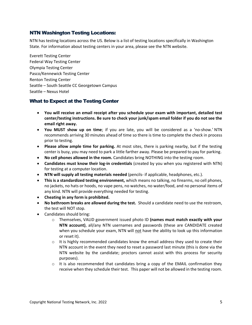### NTN Washington Testing Locations:

NTN has testing locations across the US. Below is a list of testing locations specifically in Washington State. For information about testing centers in your area, please see the NTN website.

Everett Testing Center Federal Way Testing Center Olympia Testing Center Pasco/Kennewick Testing Center Renton Testing Center Seattle – South Seattle CC Georgetown Campus Seattle – Nexus Hotel

# What to Expect at the Testing Center

- **You will receive an email receipt after you schedule your exam with important, detailed test center/testing instructions. Be sure to check your junk/spam email folder if you do not see the email right away.**
- **You MUST show up on time**; if you are late, you will be considered as a 'no-show.' NTN recommends arriving 30 minutes ahead of time so there is time to complete the check in process prior to testing.
- **Please allow ample time for parking.** At most sites, there is parking nearby, but if the testing center is busy, you may need to park a little farther away. Please be prepared to pay for parking.
- **No cell phones allowed in the room.** Candidates bring NOTHING into the testing room.
- **Candidates must know their log-in credentials** (created by you when you registered with NTN) for testing at a computer location.
- **NTN will supply all testing materials needed** (pencils- if applicable, headphones, etc.).
- **This is a standardized testing environment,** which means no talking, no firearms, no cell phones, no jackets, no hats or hoods, no vape pens, no watches, no water/food, and no personal items of any kind. NTN will provide everything needed for testing.
- **Cheating in any form is prohibited.**
- **No bathroom breaks are allowed during the test.** Should a candidate need to use the restroom, the test will NOT stop.
- Candidates should bring:
	- o Themselves, VALID government issued photo ID **(names must match exactly with your NTN account)**, all/any NTN usernames and passwords (these are CANDIDATE created when you schedule your exam, NTN will not have the ability to look up this information or reset it).
	- $\circ$  It is highly recommended candidates know the email address they used to create their NTN account in the event they need to reset a password last minute (this is done via the NTN website by the candidate; proctors cannot assist with this process for security purposes).
	- $\circ$  It is also recommended that candidates bring a copy of the EMAIL confirmation they receive when they schedule their test. This paper will not be allowed in the testing room.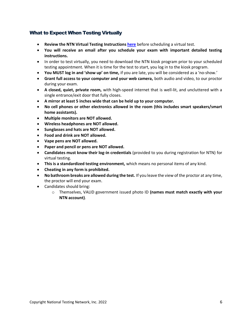# What to Expect When Testing Virtually

- **Review the NTN Virtual Testing Instructions [here](https://www.nationaltestingnetwork.com/publicsafetyjobs/index.cfm?mode=page/virtual)** before scheduling a virtual test.
- **You will receive an email after you schedule your exam with important detailed testing instructions.**
- In order to test virtually, you need to download the NTN kiosk program prior to your scheduled testing appointment. When it is time for the test to start, you log in to the kiosk program.
- **You MUST log in and 'show up' on time,** if you are late, you will be considered as a 'no-show.'
- **Grant full access to your computer and your web camera,** both audio and video, to our proctor during your exam.
- **A closed, quiet, private room,** with high-speed internet that is well-lit, and uncluttered with a single entrance/exit door that fully closes.
- **A mirror at least 5 inches wide that can be held up to your computer.**
- **No cell phones or other electronics allowed in the room (this includes smart speakers/smart home assistants).**
- **Multiple monitors are NOT allowed.**
- **Wireless headphones are NOT allowed.**
- **•** Sunglasses and hats are NOT allowed.
- **Food and drink are NOT allowed.**
- **Vape pens are NOT allowed.**
- **Paper and pencil or pens are NOT allowed.**
- **Candidates must know their log-in credentials** (provided to you during registration for NTN) for virtual testing.
- **This is a standardized testing environment,** which means no personal items of any kind.
- **Cheating in any form is prohibited.**
- **No bathroom breaks are allowed during the test.** If you leave the view of the proctor at any time, the proctor will end your exam.
- Candidates should bring:
	- o Themselves, VALID government issued photo ID **(names must match exactly with your NTN account)**.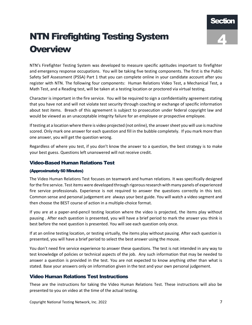# NTN Firefighting Testing System **Overview**



NTN's Firefighter Testing System was developed to measure specific aptitudes important to firefighter and emergency response occupations. You will be taking five testing components. The first is the Public Safety Self Assessment (PSSA) Part 1 that you can complete online in your candidate account after you register with NTN. The following four components: Human Relations Video Test, a Mechanical Test, a Math Test, and a Reading test, will be taken at a testing location or proctored via virtual testing.

Character is important in the fire service. You will be required to sign a confidentiality agreement stating that you have not and will not violate test security through coaching or exchange of specific information about test items. Breach of this agreement is subject to prosecution under federal copyright law and would be viewed as an unacceptable integrity failure for an employee or prospective employee.

If testing at a location where there is video projected (not online), the answer sheet you will use is machine scored. Only mark one answer for each question and fill in the bubble completely. If you mark more than one answer, you will get the question wrong.

Regardless of where you test, if you don't know the answer to a question, the best strategy is to make your best guess. Questions left unanswered will not receive credit.

# Video-Based Human Relations Test

#### (Approximately 60 Minutes)

The Video Human Relations Test focuses on teamwork and human relations. It was specifically designed for the fire service. Test items were developed through rigorous research with many panels of experienced fire service professionals. Experience is not required to answer the questions correctly in this test. Common sense and personal judgement are always your best guide. You will watch a video segment and then choose the BEST course of action in a multiple-choice format.

If you are at a paper-and-pencil testing location where the video is projected, the items play without pausing . After each question is presented, you will have a brief period to mark the answer you think is best before the next question is presented. You will see each question only once.

If at an online testing location, or testing virtually, the items play without pausing. After each question is presented, you will have a brief period to select the best answer using the mouse.

You don't need fire service experience to answer these questions. The test is not intended in any way to test knowledge of policies or technical aspects of the job. Any such information that may be needed to answer a question is provided in the test. You are not expected to know anything other than what is stated. Base your answers only on information given in the test and your own personal judgement.

# Video Human Relations Test Instructions

These are the instructions for taking the Video Human Relations Test. These instructions will also be presented to you on video at the time of the actual testing.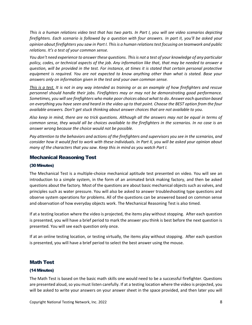*This is a human relations video test that has two parts. In Part I, you will see video scenarios depicting firefighters. Each scenario is followed by a question with four answers. In part II, you'll be asked your opinion about firefighters you saw in Part I. This is a human relations test focusing on teamwork and public relations. It's a test of your common sense.* 

*You don't need experience to answer these questions. This is not a test of your knowledge of any particular policy, codes, or technical aspects of the job. Any information like that, that may be needed to answer a question, will be provided in the test. For instance, at times it is stated that certain personal protective equipment is required. You are not expected to know anything other than what is stated. Base your answers only on information given in the test and your own common sense.* 

*This is a test. It is not in any way intended as training or as an example of how firefighters and rescue personnel should handle their jobs. Firefighters may or may not be demonstrating good performance. Sometimes, you will see firefighters who make poor choices about what to do. Answer each question based on everything you have seen and heard in the video up to that point. Choose the BEST option from the four available answers. Don't get stuck thinking about answer choices that are not available to you.*

*Also keep in mind, there are no trick questions. Although all the answers may not be equal in terms of common sense, they would all be choices available to the firefighters in the scenarios. In no case is an answer wrong because the choice would not be possible.* 

*Pay attention to the behaviors and actions of the firefighters and supervisors you see in the scenarios, and consider how it would feel to work with these individuals. In Part II, you will be asked your opinion about many of the characters that you saw. Keep this in mind as you watch Part I.*

### Mechanical Reasoning Test

#### (30Minutes)

The Mechanical Test is a multiple-choice mechanical aptitude test presented on video. You will see an introduction to a simple system, in the form of an animated brick making factory, and then be asked questions about the factory. Most of the questions are about basic mechanical objects such as valves, and principles such as water pressure. You will also be asked to answer troubleshooting type questions and observe system operations for problems. All of the questions can be answered based on common sense and observation of how everyday objects work. The Mechanical Reasoning Test is also timed.

If at a testing location where the video is projected, the items play without stopping. After each question is presented, you will have a brief period to mark the answer you think is best before the next question is presented. You will see each question only once.

If at an online testing location, or testing virtually, the items play without stopping. After each question is presented, you will have a brief period to select the best answer using the mouse.

### Math Test

#### (14 Minutes)

The Math Test is based on the basic math skills one would need to be a successful firefighter. Questions are presented aloud, so you must listen carefully. If at a testing location where the video is projected, you will be asked to write your answers on your answer sheet in the space provided, and then later you will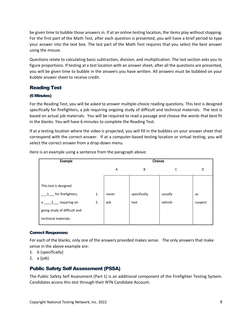be given time to bubble those answers in. If at an online testing location, the items play without stopping. For the first part of the Math Test, after each question is presented, you will have a brief period to type your answer into the text box. The last part of the Math Test requires that you select the best answer using the mouse.

Questions relate to calculating basic subtraction, division, and multiplication. The last section asks you to figure proportions. If testing at a test location with an answer sheet, after all the questions are presented, you will be given time to bubble in the answers you have written. All answers must be bubbled on your bubble answer sheet to receive credit.

# Reading Test

#### (6 Minutes)

For the Reading Test, you will be asked to answer multiple-choice reading questions. This test is designed specifically for firefighters, a job requiring ongoing study of difficult and technical materials. The test is based on actual job materials. You will be required to read a passage and choose the words that best fit in the blanks. You will have 6 minutes to complete the Reading Test.

If at a testing location where the video is projected, you will fill in the bubbles on your answer sheet that correspond with the correct answer. If at a computer-based testing location or virtual testing, you will select the correct answer from a drop-down menu.

| <b>Example</b>                    |    | <b>Choices</b> |              |         |         |
|-----------------------------------|----|----------------|--------------|---------|---------|
|                                   |    | A              | B            | С       | D       |
|                                   |    |                |              |         |         |
| This test is designed             |    |                |              |         |         |
| for firefighters,<br>1            | 1. | never          | specifically | usually | as      |
| requiring on-<br>$2^{\circ}$<br>a | 2. | job            | test         | vehicle | suspect |
| going study of difficult and      |    |                |              |         |         |
| technical materials.              |    |                |              |         |         |

Here is an example using a sentence from the paragraph above:

#### Correct Responses:

For each of the blanks, only one of the answers provided makes sense. The only answers that make sense in the above example are:

- 1. b (specifically)
- 2. a (job)

# Public Safety Self Assessment (PSSA)

The Public Safety Self Assessment (Part 1) is an additional component of the Firefighter Testing System. Candidates access this test through their NTN Candidate Account.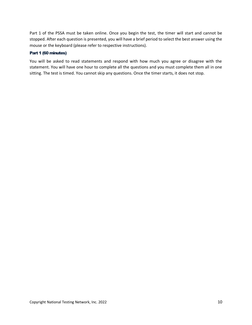Part 1 of the PSSA must be taken online. Once you begin the test, the timer will start and cannot be stopped. After each question is presented, you will have a brief period to select the best answer using the mouse or the keyboard (please refer to respective instructions).

#### Part 1 (60 minutes)

You will be asked to read statements and respond with how much you agree or disagree with the statement. You will have one hour to complete all the questions and you must complete them all in one sitting. The test is timed. You cannot skip any questions. Once the timer starts, it does not stop.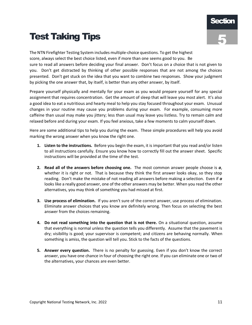# Test Taking Tips

The NTN Firefighter Testing System includes multiple-choice questions. To get the highest score, always select the best choice listed, even if more than one seems good to you. Be sure to read all answers before deciding your final answer. Don't focus on a choice that is not given to you. Don't get distracted by thinking of other possible responses that are not among the choices presented. Don't get stuck on the idea that you want to combine two responses. Show your judgment by picking the one answer that, by itself, is better than any other answer, by itself.

Prepare yourself physically and mentally for your exam as you would prepare yourself for any special assignment that requires concentration. Get the amount of sleep that will leave you most alert. It's also a good idea to eat a nutritious and hearty meal to help you stay focused throughout your exam. Unusual changes in your routine may cause you problems during your exam. For example, consuming more caffeine than usual may make you jittery; less than usual may leave you listless. Try to remain calm and relaxed before and during your exam. If you feel anxious, take a few moments to calm yourself down.

Here are some additional tips to help you during the exam. These simple procedures will help you avoid marking the wrong answer when you know the right one.

- **1. Listen to the instructions.** Before you begin the exam, it is important that you read and/or listen to all instructions carefully. Ensure you know how to correctly fill out the answer sheet. Specific instructions will be provided at the time of the test.
- **2. Read all of the answers before choosing one.** The most common answer people choose is *a*, whether it is right or not. That is because they think the first answer looks okay, so they stop reading. Don't make the mistake of not reading all answers before making a selection. Even if *a* looks like a really good answer, one of the other answers may be better. When you read the other alternatives, you may think of something you had missed at first.
- **3. Use process of elimination.** If you aren't sure of the correct answer, use process of elimination. Eliminate answer choices that you know are definitely wrong. Then focus on selecting the best answer from the choices remaining.
- **4. Do not read something into the question that is not there.** On a situational question, assume that everything is normal unless the question tells you differently. Assume that the pavement is dry; visibility is good; your supervisor is competent; and citizens are behaving normally. When something is amiss, the question will tell you. Stick to the facts of the questions.
- **5. Answer every question.** There is no penalty for guessing. Even if you don't know the correct answer, you have one chance in four of choosing the right one. If you can eliminate one or two of the alternatives, your chances are even better.